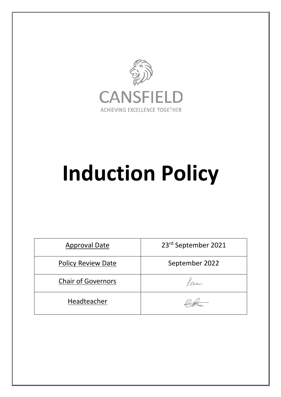

# **Induction Policy**

| <b>Approval Date</b>      | 23rd September 2021 |  |
|---------------------------|---------------------|--|
| <b>Policy Review Date</b> | September 2022      |  |
| <b>Chair of Governors</b> |                     |  |
| Headteacher               |                     |  |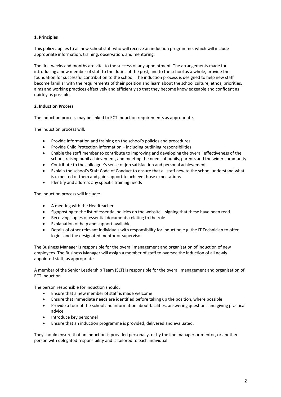#### **1. Principles**

This policy applies to all new school staff who will receive an induction programme, which will include appropriate information, training, observation, and mentoring.

The first weeks and months are vital to the success of any appointment. The arrangements made for introducing a new member of staff to the duties of the post, and to the school as a whole, provide the foundation for successful contribution to the school. The induction process is designed to help new staff become familiar with the requirements of their position and learn about the school culture, ethos, priorities, aims and working practices effectively and efficiently so that they become knowledgeable and confident as quickly as possible.

#### **2. Induction Process**

The induction process may be linked to ECT Induction requirements as appropriate.

The induction process will:

- Provide information and training on the school's policies and procedures
- Provide Child Protection information including outlining responsibilities
- Enable the staff member to contribute to improving and developing the overall effectiveness of the school, raising pupil achievement, and meeting the needs of pupils, parents and the wider community
- Contribute to the colleague's sense of job satisfaction and personal achievement
- Explain the school's Staff Code of Conduct to ensure that all staff new to the school understand what is expected of them and gain support to achieve those expectations
- Identify and address any specific training needs

The induction process will include:

- A meeting with the Headteacher
- Signposting to the list of essential policies on the website signing that these have been read
- Receiving copies of essential documents relating to the role
- Explanation of help and support available
- Details of other relevant individuals with responsibility for induction e.g. the IT Technician to offer logins and the designated mentor or supervisor

The Business Manager is responsible for the overall management and organisation of induction of new employees. The Business Manager will assign a member of staff to oversee the induction of all newly appointed staff, as appropriate.

A member of the Senior Leadership Team (SLT) is responsible for the overall management and organisation of ECT Induction.

The person responsible for induction should:

- Ensure that a new member of staff is made welcome
- Ensure that immediate needs are identified before taking up the position, where possible
- Provide a tour of the school and information about facilities, answering questions and giving practical advice
- Introduce key personnel
- Ensure that an induction programme is provided, delivered and evaluated.

They should ensure that an induction is provided personally, or by the line manager or mentor, or another person with delegated responsibility and is tailored to each individual.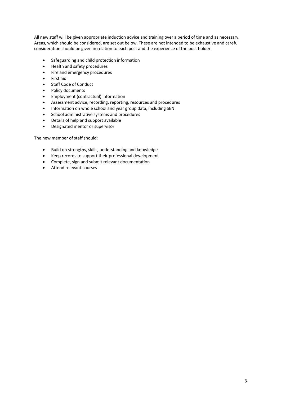All new staff will be given appropriate induction advice and training over a period of time and as necessary. Areas, which should be considered, are set out below. These are not intended to be exhaustive and careful consideration should be given in relation to each post and the experience of the post holder.

- Safeguarding and child protection information
- Health and safety procedures
- Fire and emergency procedures
- First aid
- Staff Code of Conduct
- Policy documents
- Employment (contractual) information
- Assessment advice, recording, reporting, resources and procedures
- Information on whole school and year group data, including SEN
- School administrative systems and procedures
- Details of help and support available
- Designated mentor or supervisor

The new member of staff should:

- Build on strengths, skills, understanding and knowledge
- Keep records to support their professional development
- Complete, sign and submit relevant documentation
- Attend relevant courses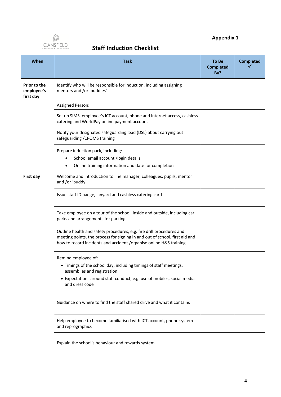

### **Appendix 1**

## **Staff Induction Checklist**

| When                                           | <b>Task</b>                                                                                                                                                                                                               | To Be<br><b>Completed</b><br>By? | <b>Completed</b> |
|------------------------------------------------|---------------------------------------------------------------------------------------------------------------------------------------------------------------------------------------------------------------------------|----------------------------------|------------------|
| <b>Prior to the</b><br>employee's<br>first day | Identify who will be responsible for induction, including assigning<br>mentors and /or 'buddies'                                                                                                                          |                                  |                  |
|                                                | <b>Assigned Person:</b>                                                                                                                                                                                                   |                                  |                  |
|                                                | Set up SIMS, employee's ICT account, phone and internet access, cashless<br>catering and WorldPay online payment account                                                                                                  |                                  |                  |
|                                                | Notify your designated safeguarding lead (DSL) about carrying out<br>safeguarding / CPOMS training                                                                                                                        |                                  |                  |
|                                                | Prepare induction pack, including:                                                                                                                                                                                        |                                  |                  |
|                                                | School email account /login details                                                                                                                                                                                       |                                  |                  |
|                                                | Online training information and date for completion                                                                                                                                                                       |                                  |                  |
| First day                                      | Welcome and introduction to line manager, colleagues, pupils, mentor<br>and /or 'buddy'                                                                                                                                   |                                  |                  |
|                                                | Issue staff ID badge, lanyard and cashless catering card                                                                                                                                                                  |                                  |                  |
|                                                | Take employee on a tour of the school, inside and outside, including car<br>parks and arrangements for parking                                                                                                            |                                  |                  |
|                                                | Outline health and safety procedures, e.g. fire drill procedures and<br>meeting points, the process for signing in and out of school, first aid and<br>how to record incidents and accident /organise online H&S training |                                  |                  |
|                                                | Remind employee of:                                                                                                                                                                                                       |                                  |                  |
|                                                | • Timings of the school day, including timings of staff meetings,<br>assemblies and registration                                                                                                                          |                                  |                  |
|                                                | • Expectations around staff conduct, e.g. use of mobiles, social media<br>and dress code                                                                                                                                  |                                  |                  |
|                                                | Guidance on where to find the staff shared drive and what it contains                                                                                                                                                     |                                  |                  |
|                                                | Help employee to become familiarised with ICT account, phone system<br>and reprographics                                                                                                                                  |                                  |                  |
|                                                | Explain the school's behaviour and rewards system                                                                                                                                                                         |                                  |                  |